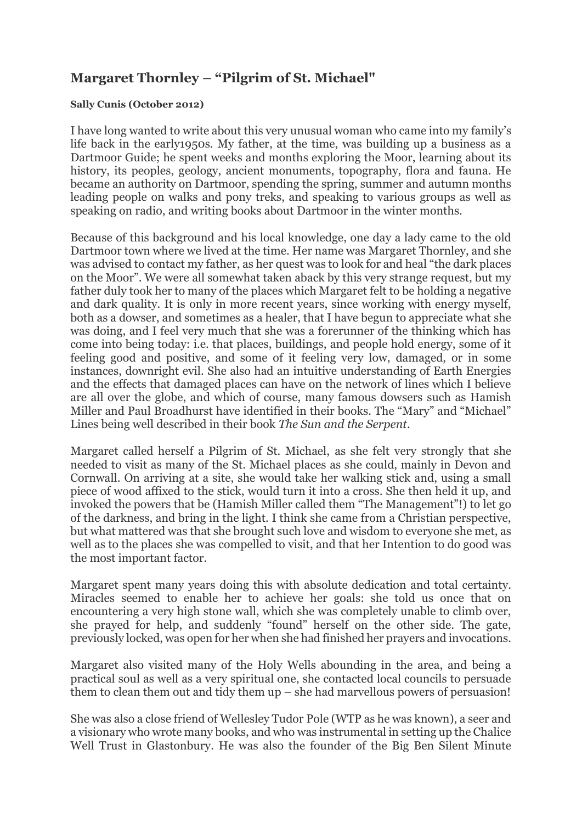## **Margaret Thornley – "Pilgrim of St. Michael"**

## **Sally Cunis (October 2012)**

I have long wanted to write about this very unusual woman who came into my family's life back in the early1950s. My father, at the time, was building up a business as a Dartmoor Guide; he spent weeks and months exploring the Moor, learning about its history, its peoples, geology, ancient monuments, topography, flora and fauna. He became an authority on Dartmoor, spending the spring, summer and autumn months leading people on walks and pony treks, and speaking to various groups as well as speaking on radio, and writing books about Dartmoor in the winter months.

Because of this background and his local knowledge, one day a lady came to the old Dartmoor town where we lived at the time. Her name was Margaret Thornley, and she was advised to contact my father, as her quest was to look for and heal "the dark places on the Moor". We were all somewhat taken aback by this very strange request, but my father duly took her to many of the places which Margaret felt to be holding a negative and dark quality. It is only in more recent years, since working with energy myself, both as a dowser, and sometimes as a healer, that I have begun to appreciate what she was doing, and I feel very much that she was a forerunner of the thinking which has come into being today: i.e. that places, buildings, and people hold energy, some of it feeling good and positive, and some of it feeling very low, damaged, or in some instances, downright evil. She also had an intuitive understanding of Earth Energies and the effects that damaged places can have on the network of lines which I believe are all over the globe, and which of course, many famous dowsers such as Hamish Miller and Paul Broadhurst have identified in their books. The "Mary" and "Michael" Lines being well described in their book *The Sun and the Serpent*.

Margaret called herself a Pilgrim of St. Michael, as she felt very strongly that she needed to visit as many of the St. Michael places as she could, mainly in Devon and Cornwall. On arriving at a site, she would take her walking stick and, using a small piece of wood affixed to the stick, would turn it into a cross. She then held it up, and invoked the powers that be (Hamish Miller called them "The Management"!) to let go of the darkness, and bring in the light. I think she came from a Christian perspective, but what mattered was that she brought such love and wisdom to everyone she met, as well as to the places she was compelled to visit, and that her Intention to do good was the most important factor.

Margaret spent many years doing this with absolute dedication and total certainty. Miracles seemed to enable her to achieve her goals: she told us once that on encountering a very high stone wall, which she was completely unable to climb over, she prayed for help, and suddenly "found" herself on the other side. The gate, previously locked, was open for her when she had finished her prayers and invocations.

Margaret also visited many of the Holy Wells abounding in the area, and being a practical soul as well as a very spiritual one, she contacted local councils to persuade them to clean them out and tidy them up – she had marvellous powers of persuasion!

She was also a close friend of Wellesley Tudor Pole (WTP as he was known), a seer and a visionary who wrote many books, and who was instrumental in setting up the Chalice Well Trust in Glastonbury. He was also the founder of the Big Ben Silent Minute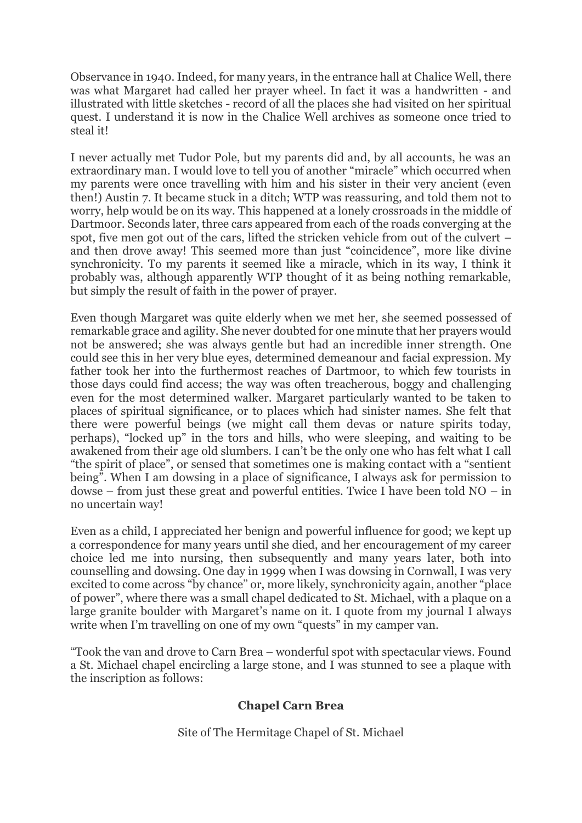Observance in 1940. Indeed, for many years, in the entrance hall at Chalice Well, there was what Margaret had called her prayer wheel. In fact it was a handwritten - and illustrated with little sketches - record of all the places she had visited on her spiritual quest. I understand it is now in the Chalice Well archives as someone once tried to steal it!

I never actually met Tudor Pole, but my parents did and, by all accounts, he was an extraordinary man. I would love to tell you of another "miracle" which occurred when my parents were once travelling with him and his sister in their very ancient (even then!) Austin 7. It became stuck in a ditch; WTP was reassuring, and told them not to worry, help would be on its way. This happened at a lonely crossroads in the middle of Dartmoor. Seconds later, three cars appeared from each of the roads converging at the spot, five men got out of the cars, lifted the stricken vehicle from out of the culvert – and then drove away! This seemed more than just "coincidence", more like divine synchronicity. To my parents it seemed like a miracle, which in its way, I think it probably was, although apparently WTP thought of it as being nothing remarkable, but simply the result of faith in the power of prayer.

Even though Margaret was quite elderly when we met her, she seemed possessed of remarkable grace and agility. She never doubted for one minute that her prayers would not be answered; she was always gentle but had an incredible inner strength. One could see this in her very blue eyes, determined demeanour and facial expression. My father took her into the furthermost reaches of Dartmoor, to which few tourists in those days could find access; the way was often treacherous, boggy and challenging even for the most determined walker. Margaret particularly wanted to be taken to places of spiritual significance, or to places which had sinister names. She felt that there were powerful beings (we might call them devas or nature spirits today, perhaps), "locked up" in the tors and hills, who were sleeping, and waiting to be awakened from their age old slumbers. I can't be the only one who has felt what I call "the spirit of place", or sensed that sometimes one is making contact with a "sentient being". When I am dowsing in a place of significance, I always ask for permission to dowse – from just these great and powerful entities. Twice I have been told NO – in no uncertain way!

Even as a child, I appreciated her benign and powerful influence for good; we kept up a correspondence for many years until she died, and her encouragement of my career choice led me into nursing, then subsequently and many years later, both into counselling and dowsing. One day in 1999 when I was dowsing in Cornwall, I was very excited to come across "by chance" or, more likely, synchronicity again, another "place of power", where there was a small chapel dedicated to St. Michael, with a plaque on a large granite boulder with Margaret's name on it. I quote from my journal I always write when I'm travelling on one of my own "quests" in my camper van.

"Took the van and drove to Carn Brea – wonderful spot with spectacular views. Found a St. Michael chapel encircling a large stone, and I was stunned to see a plaque with the inscription as follows:

## **Chapel Carn Brea**

Site of The Hermitage Chapel of St. Michael